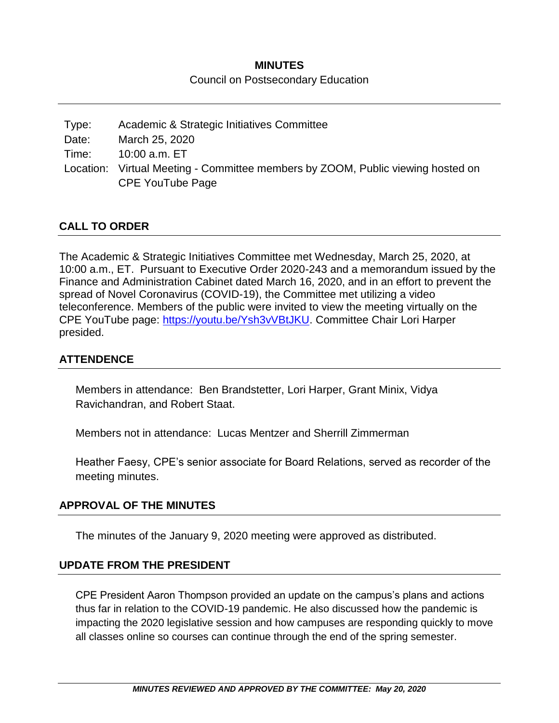# **MINUTES**

#### Council on Postsecondary Education

Type: Academic & Strategic Initiatives Committee Date: March 25, 2020 Time: 10:00 a.m. ET Location: Virtual Meeting - Committee members by ZOOM, Public viewing hosted on CPE YouTube Page

#### **CALL TO ORDER**

The Academic & Strategic Initiatives Committee met Wednesday, March 25, 2020, at 10:00 a.m., ET. Pursuant to Executive Order 2020-243 and a memorandum issued by the Finance and Administration Cabinet dated March 16, 2020, and in an effort to prevent the spread of Novel Coronavirus (COVID-19), the Committee met utilizing a video teleconference. Members of the public were invited to view the meeting virtually on the CPE YouTube page: [https://youtu.be/Ysh3vVBtJKU.](https://youtu.be/Ysh3vVBtJKU) Committee Chair Lori Harper presided.

#### **ATTENDENCE**

Members in attendance: Ben Brandstetter, Lori Harper, Grant Minix, Vidya Ravichandran, and Robert Staat.

Members not in attendance: Lucas Mentzer and Sherrill Zimmerman

Heather Faesy, CPE's senior associate for Board Relations, served as recorder of the meeting minutes.

#### **APPROVAL OF THE MINUTES**

The minutes of the January 9, 2020 meeting were approved as distributed.

#### **UPDATE FROM THE PRESIDENT**

CPE President Aaron Thompson provided an update on the campus's plans and actions thus far in relation to the COVID-19 pandemic. He also discussed how the pandemic is impacting the 2020 legislative session and how campuses are responding quickly to move all classes online so courses can continue through the end of the spring semester.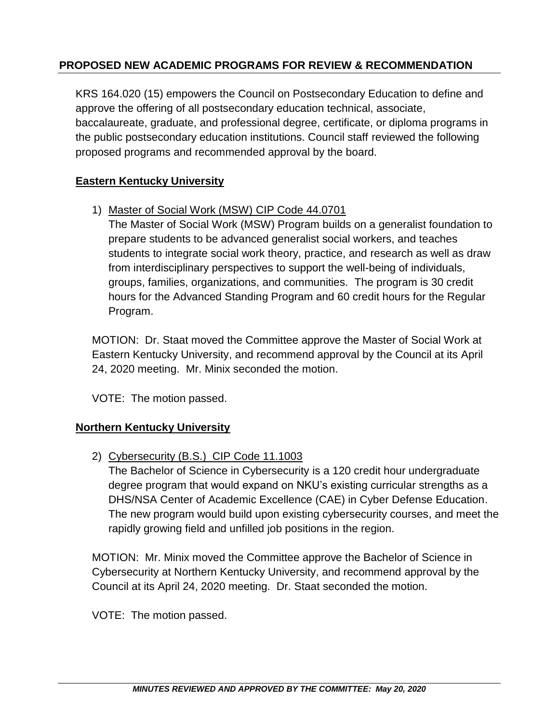# **PROPOSED NEW ACADEMIC PROGRAMS FOR REVIEW & RECOMMENDATION**

KRS 164.020 (15) empowers the Council on Postsecondary Education to define and approve the offering of all postsecondary education technical, associate, baccalaureate, graduate, and professional degree, certificate, or diploma programs in the public postsecondary education institutions. Council staff reviewed the following proposed programs and recommended approval by the board.

## **Eastern Kentucky University**

1) Master of Social Work (MSW) CIP Code 44.0701

The Master of Social Work (MSW) Program builds on a generalist foundation to prepare students to be advanced generalist social workers, and teaches students to integrate social work theory, practice, and research as well as draw from interdisciplinary perspectives to support the well-being of individuals, groups, families, organizations, and communities. The program is 30 credit hours for the Advanced Standing Program and 60 credit hours for the Regular Program.

MOTION: Dr. Staat moved the Committee approve the Master of Social Work at Eastern Kentucky University, and recommend approval by the Council at its April 24, 2020 meeting. Mr. Minix seconded the motion.

VOTE: The motion passed.

## **Northern Kentucky University**

2) Cybersecurity (B.S.) CIP Code 11.1003

The Bachelor of Science in Cybersecurity is a 120 credit hour undergraduate degree program that would expand on NKU's existing curricular strengths as a DHS/NSA Center of Academic Excellence (CAE) in Cyber Defense Education. The new program would build upon existing cybersecurity courses, and meet the rapidly growing field and unfilled job positions in the region.

MOTION: Mr. Minix moved the Committee approve the Bachelor of Science in Cybersecurity at Northern Kentucky University, and recommend approval by the Council at its April 24, 2020 meeting. Dr. Staat seconded the motion.

VOTE: The motion passed.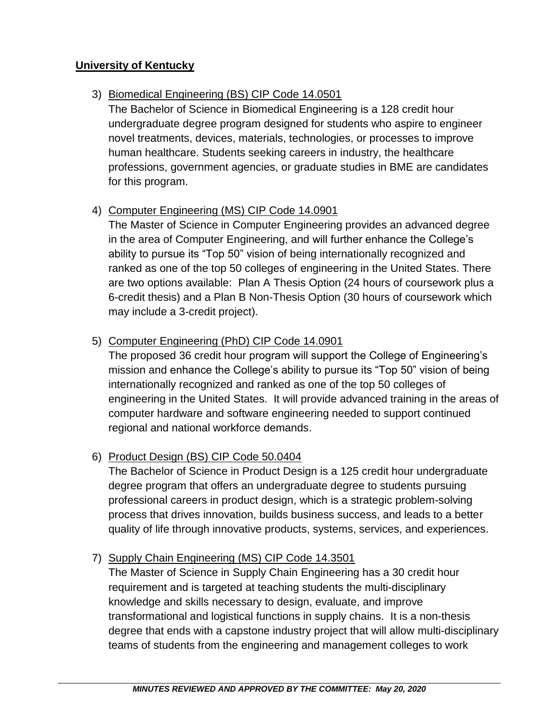## **University of Kentucky**

## 3) Biomedical Engineering (BS) CIP Code 14.0501

The Bachelor of Science in Biomedical Engineering is a 128 credit hour undergraduate degree program designed for students who aspire to engineer novel treatments, devices, materials, technologies, or processes to improve human healthcare. Students seeking careers in industry, the healthcare professions, government agencies, or graduate studies in BME are candidates for this program.

# 4) Computer Engineering (MS) CIP Code 14.0901

The Master of Science in Computer Engineering provides an advanced degree in the area of Computer Engineering, and will further enhance the College's ability to pursue its "Top 50" vision of being internationally recognized and ranked as one of the top 50 colleges of engineering in the United States. There are two options available: Plan A Thesis Option (24 hours of coursework plus a 6-credit thesis) and a Plan B Non-Thesis Option (30 hours of coursework which may include a 3-credit project).

## 5) Computer Engineering (PhD) CIP Code 14.0901

The proposed 36 credit hour program will support the College of Engineering's mission and enhance the College's ability to pursue its "Top 50" vision of being internationally recognized and ranked as one of the top 50 colleges of engineering in the United States. It will provide advanced training in the areas of computer hardware and software engineering needed to support continued regional and national workforce demands.

# 6) Product Design (BS) CIP Code 50.0404

The Bachelor of Science in Product Design is a 125 credit hour undergraduate degree program that offers an undergraduate degree to students pursuing professional careers in product design, which is a strategic problem-solving process that drives innovation, builds business success, and leads to a better quality of life through innovative products, systems, services, and experiences.

## 7) Supply Chain Engineering (MS) CIP Code 14.3501

The Master of Science in Supply Chain Engineering has a 30 credit hour requirement and is targeted at teaching students the multi-disciplinary knowledge and skills necessary to design, evaluate, and improve transformational and logistical functions in supply chains. It is a non-thesis degree that ends with a capstone industry project that will allow multi-disciplinary teams of students from the engineering and management colleges to work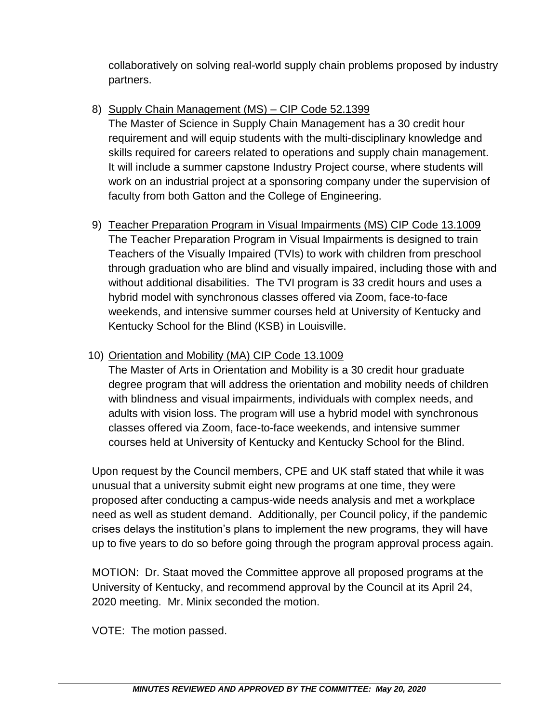collaboratively on solving real-world supply chain problems proposed by industry partners.

# 8) Supply Chain Management (MS) – CIP Code 52.1399

The Master of Science in Supply Chain Management has a 30 credit hour requirement and will equip students with the multi-disciplinary knowledge and skills required for careers related to operations and supply chain management. It will include a summer capstone Industry Project course, where students will work on an industrial project at a sponsoring company under the supervision of faculty from both Gatton and the College of Engineering.

9) Teacher Preparation Program in Visual Impairments (MS) CIP Code 13.1009 The Teacher Preparation Program in Visual Impairments is designed to train Teachers of the Visually Impaired (TVIs) to work with children from preschool through graduation who are blind and visually impaired, including those with and without additional disabilities. The TVI program is 33 credit hours and uses a hybrid model with synchronous classes offered via Zoom, face-to-face weekends, and intensive summer courses held at University of Kentucky and Kentucky School for the Blind (KSB) in Louisville.

# 10) Orientation and Mobility (MA) CIP Code 13.1009

The Master of Arts in Orientation and Mobility is a 30 credit hour graduate degree program that will address the orientation and mobility needs of children with blindness and visual impairments, individuals with complex needs, and adults with vision loss. The program will use a hybrid model with synchronous classes offered via Zoom, face-to-face weekends, and intensive summer courses held at University of Kentucky and Kentucky School for the Blind.

Upon request by the Council members, CPE and UK staff stated that while it was unusual that a university submit eight new programs at one time, they were proposed after conducting a campus-wide needs analysis and met a workplace need as well as student demand. Additionally, per Council policy, if the pandemic crises delays the institution's plans to implement the new programs, they will have up to five years to do so before going through the program approval process again.

MOTION: Dr. Staat moved the Committee approve all proposed programs at the University of Kentucky, and recommend approval by the Council at its April 24, 2020 meeting. Mr. Minix seconded the motion.

VOTE: The motion passed.